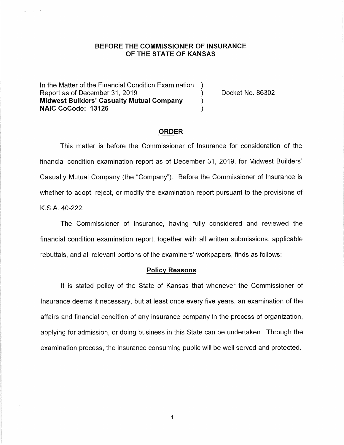### **BEFORE THE COMMISSIONER OF INSURANCE OF THE STATE OF KANSAS**

In the Matter of the Financial Condition Examination ) Report as of December 31, 2019 (and Separation Contract No. 86302) **Midwest Builders' Casualty Mutual Company** ) **NAIC CoCode: 13126** )

### **ORDER**

This matter is before the Commissioner of Insurance for consideration of the financial condition examination report as of December 31, 2019, for Midwest Builders' Casualty Mutual Company (the "Company"). Before the Commissioner of Insurance is whether to adopt, reject, or modify the examination report pursuant to the provisions of K.S.A. 40-222.

The Commissioner of Insurance, having fully considered and reviewed the financial condition examination report, together with all written submissions, applicable rebuttals, and all relevant portions of the examiners' workpapers, finds as follows:

#### **Policy Reasons**

It is stated policy of the State of Kansas that whenever the Commissioner of Insurance deems it necessary, but at least once every five years, an examination of the affairs and financial condition of any insurance company in the process of organization, applying for admission, or doing business in this State can be undertaken. Through the examination process, the insurance consuming public will be well served and protected.

 $\mathbf{1}$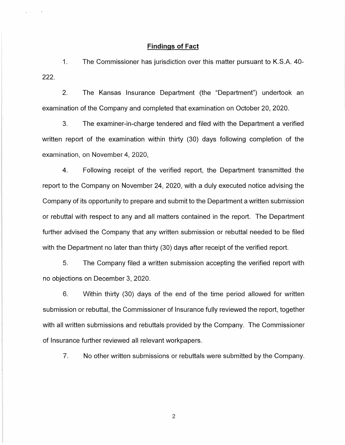### **Findings of Fact**

1. The Commissioner has jurisdiction over this matter pursuant to K.S.A. 40- 222.

2. The Kansas Insurance Department (the "Department") undertook an examination of the Company and completed that examination on October 20, 2020.

3. The examiner-in-charge tendered and filed with the Department a verified written report of the examination within thirty (30) days following completion of the examination, on November 4, 2020,

4. Following receipt of the verified report, the Department transmitted the report to the Company on November 24, 2020, with a duly executed notice advising the Company of its opportunity to prepare and submit to the Department a written submission or rebuttal with respect to any and all matters contained in the report. The Department further advised the Company that any written submission or rebuttal needed to be filed with the Department no later than thirty (30) days after receipt of the verified report.

5. The Company filed a written submission accepting the verified report with no objections on December 3, 2020.

6. Within thirty (30) days of the end of the time period allowed for written submission or rebuttal, the Commissioner of Insurance fully reviewed the report, together with all written submissions and rebuttals provided by the Company. The Commissioner of Insurance further reviewed all relevant workpapers.

7. No other written submissions or rebuttals were submitted by the Company.

2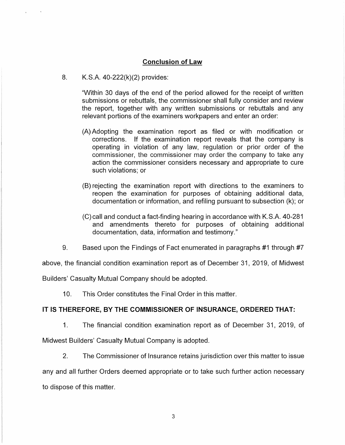# **Conclusion of Law**

8. K.S.A. 40-222(k)(2) provides:

"Within 30 days of the end of the period allowed for the receipt of written submissions or rebuttals, the commissioner shall fully consider and review the report, together with any written submissions or rebuttals and any relevant portions of the examiners workpapers and enter an order:

- (A) Adopting the examination report as filed or with modification or corrections. If the examination report reveals that the company is operating in violation of any law, regulation or prior order of the commissioner, the commissioner may order the company to take any action the commissioner considers necessary and appropriate to cure such violations; or
- (8) rejecting the examination report with directions to the examiners to reopen the examination for purposes of obtaining additional data, documentation or information, and refiling pursuant to subsection (k); or
- (C) call and conduct a fact-finding hearing in accordance with K.S.A. 40-281 and amendments thereto for purposes of obtaining additional documentation, data, information and testimony."
- 9. Based upon the Findings of Fact enumerated in paragraphs #1 through #7

above, the financial condition examination report as of December 31, 2019, of Midwest

Builders' Casualty Mutual Company should be adopted.

10. This Order constitutes the Final Order in this matter.

### **IT IS THEREFORE, BY THE COMMISSIONER OF INSURANCE, ORDERED THAT:**

1. The financial condition examination report as of December 31, 2019, of

Midwest Builders' Casualty Mutual Company is adopted.

2. The Commissioner of Insurance retains jurisdiction over this matter to issue

any and all further Orders deemed appropriate or to take such further action necessary to dispose of this matter.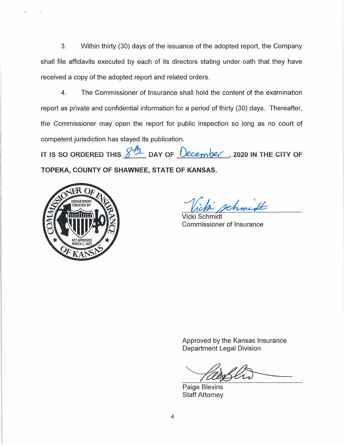3. Within thirty (30) days of the issuance of the adopted report, the Company shall file affidavits executed by each of its directors stating under oath that they have received a copy of the adopted report and related orders.

4. The Commissioner of Insurance shall hold the content of the examination report as private and confidential information for a period of thirty (30) days. Thereafter, the Commissioner may open the report for public inspection so long as no court of competent jurisdiction has stayed its publication.

IT IS SO ORDERED THIS  $\frac{\sqrt{h}}{2}$  DAY OF  $\frac{\log_{2}h}{\log_{2}h}$ , 2020 IN THE CITY OF **TOPEKA, COUNTY OF SHAWNEE, STATE OF KANSAS.** 



rchmidt

Vicki Schmidt Commissioner of Insurance

Approved by the Kansas Insurance Department Legal Division

Paige Blevins Staff Attorney